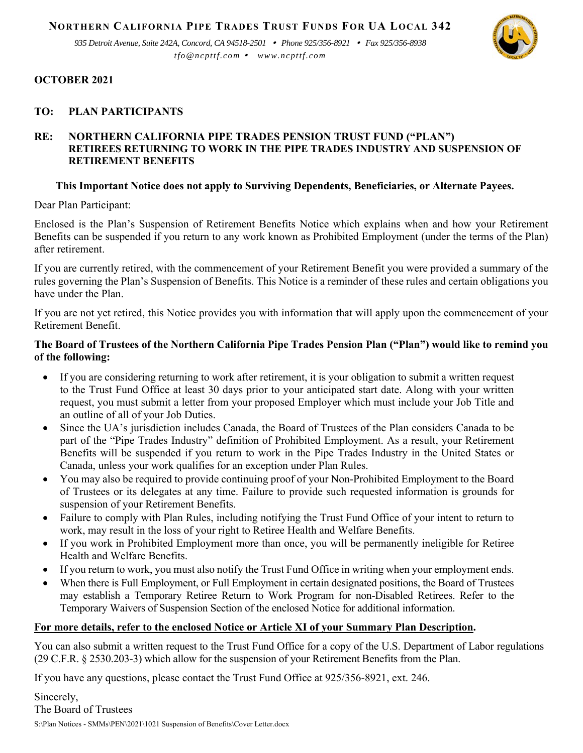**NORTHERN CALIFORNIA PIPE TRADES TRUST FUNDS FOR UA LOCAL 342**

*935 Detroit Avenue, Suite 242A, Concord, CA 94518-2501 Phone 925/356-8921 Fax 925/356-8938 tfo@ncpttf.com www.ncpttf.com*



## **OCTOBER 2021**

# **TO: PLAN PARTICIPANTS**

# **RE: NORTHERN CALIFORNIA PIPE TRADES PENSION TRUST FUND ("PLAN") RETIREES RETURNING TO WORK IN THE PIPE TRADES INDUSTRY AND SUSPENSION OF RETIREMENT BENEFITS**

# **This Important Notice does not apply to Surviving Dependents, Beneficiaries, or Alternate Payees.**

Dear Plan Participant:

Enclosed is the Plan's Suspension of Retirement Benefits Notice which explains when and how your Retirement Benefits can be suspended if you return to any work known as Prohibited Employment (under the terms of the Plan) after retirement.

If you are currently retired, with the commencement of your Retirement Benefit you were provided a summary of the rules governing the Plan's Suspension of Benefits. This Notice is a reminder of these rules and certain obligations you have under the Plan.

If you are not yet retired, this Notice provides you with information that will apply upon the commencement of your Retirement Benefit.

# **The Board of Trustees of the Northern California Pipe Trades Pension Plan ("Plan") would like to remind you of the following:**

- If you are considering returning to work after retirement, it is your obligation to submit a written request to the Trust Fund Office at least 30 days prior to your anticipated start date. Along with your written request, you must submit a letter from your proposed Employer which must include your Job Title and an outline of all of your Job Duties.
- Since the UA's jurisdiction includes Canada, the Board of Trustees of the Plan considers Canada to be part of the "Pipe Trades Industry" definition of Prohibited Employment. As a result, your Retirement Benefits will be suspended if you return to work in the Pipe Trades Industry in the United States or Canada, unless your work qualifies for an exception under Plan Rules.
- You may also be required to provide continuing proof of your Non-Prohibited Employment to the Board of Trustees or its delegates at any time. Failure to provide such requested information is grounds for suspension of your Retirement Benefits.
- Failure to comply with Plan Rules, including notifying the Trust Fund Office of your intent to return to work, may result in the loss of your right to Retiree Health and Welfare Benefits.
- If you work in Prohibited Employment more than once, you will be permanently ineligible for Retiree Health and Welfare Benefits.
- If you return to work, you must also notify the Trust Fund Office in writing when your employment ends.
- When there is Full Employment, or Full Employment in certain designated positions, the Board of Trustees may establish a Temporary Retiree Return to Work Program for non-Disabled Retirees. Refer to the Temporary Waivers of Suspension Section of the enclosed Notice for additional information.

## **For more details, refer to the enclosed Notice or Article XI of your Summary Plan Description.**

You can also submit a written request to the Trust Fund Office for a copy of the U.S. Department of Labor regulations (29 C.F.R. § 2530.203-3) which allow for the suspension of your Retirement Benefits from the Plan.

If you have any questions, please contact the Trust Fund Office at 925/356-8921, ext. 246.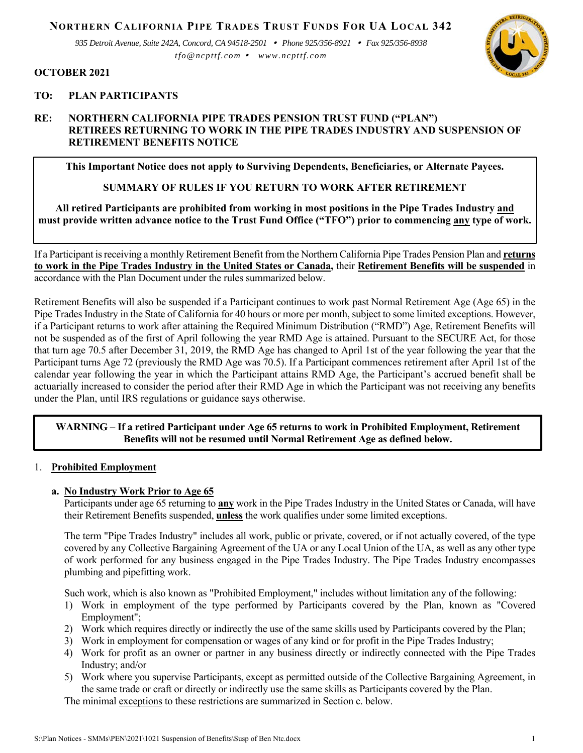**NORTHERN CALIFORNIA PIPE TRADES TRUST FUNDS FOR UA LOCAL 342**

*935 Detroit Avenue, Suite 242A, Concord, CA 94518-2501 Phone 925/356-8921 Fax 925/356-8938 tfo@ncpttf.com www.ncpttf.com*



#### **OCTOBER 2021**

### **TO: PLAN PARTICIPANTS**

## **RE: NORTHERN CALIFORNIA PIPE TRADES PENSION TRUST FUND ("PLAN") RETIREES RETURNING TO WORK IN THE PIPE TRADES INDUSTRY AND SUSPENSION OF RETIREMENT BENEFITS NOTICE**

**This Important Notice does not apply to Surviving Dependents, Beneficiaries, or Alternate Payees.** 

### **SUMMARY OF RULES IF YOU RETURN TO WORK AFTER RETIREMENT**

**All retired Participants are prohibited from working in most positions in the Pipe Trades Industry and must provide written advance notice to the Trust Fund Office ("TFO") prior to commencing any type of work.** 

If a Participant is receiving a monthly Retirement Benefit from the Northern California Pipe Trades Pension Plan and **returns to work in the Pipe Trades Industry in the United States or Canada,** their **Retirement Benefits will be suspended** in accordance with the Plan Document under the rules summarized below.

Retirement Benefits will also be suspended if a Participant continues to work past Normal Retirement Age (Age 65) in the Pipe Trades Industry in the State of California for 40 hours or more per month, subject to some limited exceptions. However, if a Participant returns to work after attaining the Required Minimum Distribution ("RMD") Age, Retirement Benefits will not be suspended as of the first of April following the year RMD Age is attained. Pursuant to the SECURE Act, for those that turn age 70.5 after December 31, 2019, the RMD Age has changed to April 1st of the year following the year that the Participant turns Age 72 (previously the RMD Age was 70.5). If a Participant commences retirement after April 1st of the calendar year following the year in which the Participant attains RMD Age, the Participant's accrued benefit shall be actuarially increased to consider the period after their RMD Age in which the Participant was not receiving any benefits under the Plan, until IRS regulations or guidance says otherwise.

### **WARNING – If a retired Participant under Age 65 returns to work in Prohibited Employment, Retirement Benefits will not be resumed until Normal Retirement Age as defined below.**

### 1. **Prohibited Employment**

### **a. No Industry Work Prior to Age 65**

Participants under age 65 returning to **any** work in the Pipe Trades Industry in the United States or Canada, will have their Retirement Benefits suspended, **unless** the work qualifies under some limited exceptions.

 The term "Pipe Trades Industry" includes all work, public or private, covered, or if not actually covered, of the type covered by any Collective Bargaining Agreement of the UA or any Local Union of the UA, as well as any other type of work performed for any business engaged in the Pipe Trades Industry. The Pipe Trades Industry encompasses plumbing and pipefitting work.

Such work, which is also known as "Prohibited Employment," includes without limitation any of the following:

- 1) Work in employment of the type performed by Participants covered by the Plan, known as "Covered Employment";
- 2) Work which requires directly or indirectly the use of the same skills used by Participants covered by the Plan;
- 3) Work in employment for compensation or wages of any kind or for profit in the Pipe Trades Industry;
- 4) Work for profit as an owner or partner in any business directly or indirectly connected with the Pipe Trades Industry; and/or
- 5) Work where you supervise Participants, except as permitted outside of the Collective Bargaining Agreement, in the same trade or craft or directly or indirectly use the same skills as Participants covered by the Plan.

The minimal exceptions to these restrictions are summarized in Section c. below.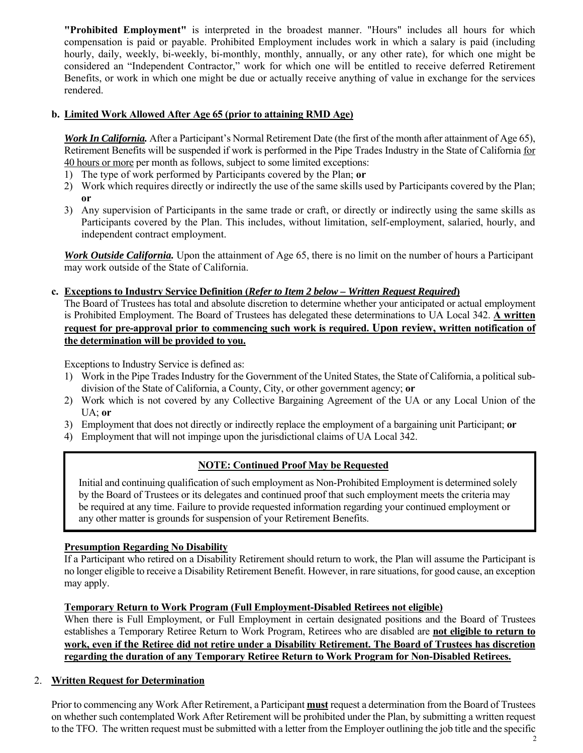**"Prohibited Employment"** is interpreted in the broadest manner. "Hours" includes all hours for which compensation is paid or payable. Prohibited Employment includes work in which a salary is paid (including hourly, daily, weekly, bi-weekly, bi-monthly, monthly, annually, or any other rate), for which one might be considered an "Independent Contractor," work for which one will be entitled to receive deferred Retirement Benefits, or work in which one might be due or actually receive anything of value in exchange for the services rendered.

## **b. Limited Work Allowed After Age 65 (prior to attaining RMD Age)**

*Work In California.* After a Participant's Normal Retirement Date (the first of the month after attainment of Age 65), Retirement Benefits will be suspended if work is performed in the Pipe Trades Industry in the State of California for 40 hours or more per month as follows, subject to some limited exceptions:

- 1) The type of work performed by Participants covered by the Plan; **or**
- 2) Work which requires directly or indirectly the use of the same skills used by Participants covered by the Plan; **or**
- 3) Any supervision of Participants in the same trade or craft, or directly or indirectly using the same skills as Participants covered by the Plan. This includes, without limitation, self-employment, salaried, hourly, and independent contract employment.

*Work Outside California.* Upon the attainment of Age 65, there is no limit on the number of hours a Participant may work outside of the State of California.

# **c. Exceptions to Industry Service Definition (***Refer to Item 2 below – Written Request Required***)**

 The Board of Trustees has total and absolute discretion to determine whether your anticipated or actual employment is Prohibited Employment. The Board of Trustees has delegated these determinations to UA Local 342. **A written request for pre-approval prior to commencing such work is required. Upon review, written notification of the determination will be provided to you.**

Exceptions to Industry Service is defined as:

- 1) Work in the Pipe Trades Industry for the Government of the United States, the State of California, a political subdivision of the State of California, a County, City, or other government agency; **or**
- 2) Work which is not covered by any Collective Bargaining Agreement of the UA or any Local Union of the UA; **or**
- 3) Employment that does not directly or indirectly replace the employment of a bargaining unit Participant; **or**
- 4) Employment that will not impinge upon the jurisdictional claims of UA Local 342.

# **NOTE: Continued Proof May be Requested**

 Initial and continuing qualification of such employment as Non-Prohibited Employment is determined solely by the Board of Trustees or its delegates and continued proof that such employment meets the criteria may be required at any time. Failure to provide requested information regarding your continued employment or any other matter is grounds for suspension of your Retirement Benefits.

# **Presumption Regarding No Disability**

If a Participant who retired on a Disability Retirement should return to work, the Plan will assume the Participant is no longer eligible to receive a Disability Retirement Benefit. However, in rare situations, for good cause, an exception may apply.

## **Temporary Return to Work Program (Full Employment-Disabled Retirees not eligible)**

When there is Full Employment, or Full Employment in certain designated positions and the Board of Trustees establishes a Temporary Retiree Return to Work Program, Retirees who are disabled are **not eligible to return to work, even if the Retiree did not retire under a Disability Retirement. The Board of Trustees has discretion regarding the duration of any Temporary Retiree Return to Work Program for Non-Disabled Retirees.**

## 2. **Written Request for Determination**

Prior to commencing any Work After Retirement, a Participant **must** request a determination from the Board of Trustees on whether such contemplated Work After Retirement will be prohibited under the Plan, by submitting a written request to the TFO. The written request must be submitted with a letter from the Employer outlining the job title and the specific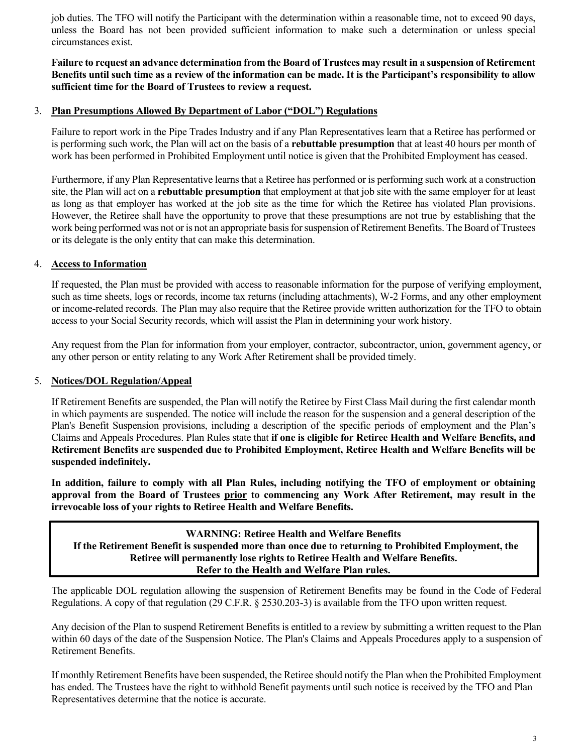job duties. The TFO will notify the Participant with the determination within a reasonable time, not to exceed 90 days, unless the Board has not been provided sufficient information to make such a determination or unless special circumstances exist.

### **Failure to request an advance determination from the Board of Trustees may result in a suspension of Retirement Benefits until such time as a review of the information can be made. It is the Participant's responsibility to allow sufficient time for the Board of Trustees to review a request.**

### 3. **Plan Presumptions Allowed By Department of Labor ("DOL") Regulations**

Failure to report work in the Pipe Trades Industry and if any Plan Representatives learn that a Retiree has performed or is performing such work, the Plan will act on the basis of a **rebuttable presumption** that at least 40 hours per month of work has been performed in Prohibited Employment until notice is given that the Prohibited Employment has ceased.

Furthermore, if any Plan Representative learns that a Retiree has performed or is performing such work at a construction site, the Plan will act on a **rebuttable presumption** that employment at that job site with the same employer for at least as long as that employer has worked at the job site as the time for which the Retiree has violated Plan provisions. However, the Retiree shall have the opportunity to prove that these presumptions are not true by establishing that the work being performed was not or is not an appropriate basis for suspension of Retirement Benefits. The Board of Trustees or its delegate is the only entity that can make this determination.

### 4. **Access to Information**

If requested, the Plan must be provided with access to reasonable information for the purpose of verifying employment, such as time sheets, logs or records, income tax returns (including attachments), W-2 Forms, and any other employment or income-related records. The Plan may also require that the Retiree provide written authorization for the TFO to obtain access to your Social Security records, which will assist the Plan in determining your work history.

Any request from the Plan for information from your employer, contractor, subcontractor, union, government agency, or any other person or entity relating to any Work After Retirement shall be provided timely.

### 5. **Notices/DOL Regulation/Appeal**

If Retirement Benefits are suspended, the Plan will notify the Retiree by First Class Mail during the first calendar month in which payments are suspended. The notice will include the reason for the suspension and a general description of the Plan's Benefit Suspension provisions, including a description of the specific periods of employment and the Plan's Claims and Appeals Procedures. Plan Rules state that **if one is eligible for Retiree Health and Welfare Benefits, and Retirement Benefits are suspended due to Prohibited Employment, Retiree Health and Welfare Benefits will be suspended indefinitely.** 

**In addition, failure to comply with all Plan Rules, including notifying the TFO of employment or obtaining approval from the Board of Trustees prior to commencing any Work After Retirement, may result in the irrevocable loss of your rights to Retiree Health and Welfare Benefits.** 

### **WARNING: Retiree Health and Welfare Benefits If the Retirement Benefit is suspended more than once due to returning to Prohibited Employment, the Retiree will permanently lose rights to Retiree Health and Welfare Benefits. Refer to the Health and Welfare Plan rules.**

The applicable DOL regulation allowing the suspension of Retirement Benefits may be found in the Code of Federal Regulations. A copy of that regulation (29 C.F.R. § 2530.203-3) is available from the TFO upon written request.

Any decision of the Plan to suspend Retirement Benefits is entitled to a review by submitting a written request to the Plan within 60 days of the date of the Suspension Notice. The Plan's Claims and Appeals Procedures apply to a suspension of Retirement Benefits.

If monthly Retirement Benefits have been suspended, the Retiree should notify the Plan when the Prohibited Employment has ended. The Trustees have the right to withhold Benefit payments until such notice is received by the TFO and Plan Representatives determine that the notice is accurate.